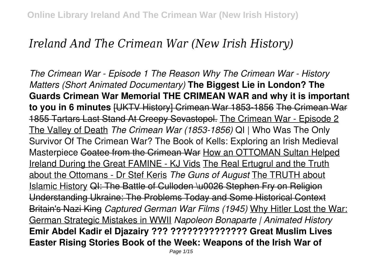# *Ireland And The Crimean War (New Irish History)*

*The Crimean War - Episode 1 The Reason Why The Crimean War - History Matters (Short Animated Documentary)* **The Biggest Lie in London? The Guards Crimean War Memorial THE CRIMEAN WAR and why it is important to you in 6 minutes** [UKTV History] Crimean War 1853-1856 The Crimean War 1855 Tartars Last Stand At Creepy Sevastopol. The Crimean War - Episode 2 The Valley of Death *The Crimean War (1853-1856)* QI | Who Was The Only Survivor Of The Crimean War? The Book of Kells: Exploring an Irish Medieval Masterpiece Coatee from the Crimean War How an OTTOMAN Sultan Helped Ireland During the Great FAMINE - KJ Vids The Real Ertugrul and the Truth about the Ottomans - Dr Stef Keris *The Guns of August* The TRUTH about Islamic History QI: The Battle of Culloden \u0026 Stephen Fry on Religion Understanding Ukraine: The Problems Today and Some Historical Context Britain's Nazi King *Captured German War Films (1945)* Why Hitler Lost the War: German Strategic Mistakes in WWII *Napoleon Bonaparte | Animated History* **Emir Abdel Kadir el Djazairy ??? ?????????????? Great Muslim Lives Easter Rising Stories Book of the Week: Weapons of the Irish War of**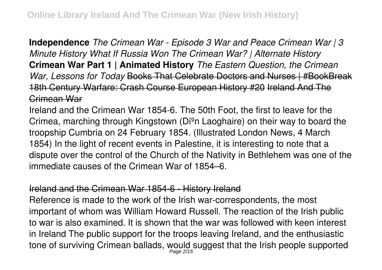**Independence** *The Crimean War - Episode 3 War and Peace Crimean War | 3 Minute History What If Russia Won The Crimean War? | Alternate History* **Crimean War Part 1 | Animated History** *The Eastern Question, the Crimean War, Lessons for Today* Books That Celebrate Doctors and Nurses | #BookBreak 18th Century Warfare: Crash Course European History #20 Ireland And The Crimean War

Ireland and the Crimean War 1854-6. The 50th Foot, the first to leave for the Crimea, marching through Kingstown (Díºn Laoghaire) on their way to board the troopship Cumbria on 24 February 1854. (Illustrated London News, 4 March 1854) In the light of recent events in Palestine, it is interesting to note that a dispute over the control of the Church of the Nativity in Bethlehem was one of the immediate causes of the Crimean War of 1854–6.

## Ireland and the Crimean War 1854-6 - History Ireland

Reference is made to the work of the Irish war-correspondents, the most important of whom was William Howard Russell. The reaction of the Irish public to war is also examined. It is shown that the war was followed with keen interest in Ireland The public support for the troops leaving Ireland, and the enthusiastic tone of surviving Crimean ballads, would suggest that the Irish people supported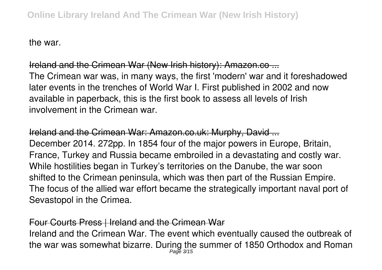the war.

## Ireland and the Crimean War (New Irish history): Amazon.co ...

The Crimean war was, in many ways, the first 'modern' war and it foreshadowed later events in the trenches of World War I. First published in 2002 and now available in paperback, this is the first book to assess all levels of Irish involvement in the Crimean war.

# Ireland and the Crimean War: Amazon.co.uk: Murphy, David ... December 2014. 272pp. In 1854 four of the major powers in Europe, Britain, France, Turkey and Russia became embroiled in a devastating and costly war. While hostilities began in Turkey's territories on the Danube, the war soon shifted to the Crimean peninsula, which was then part of the Russian Empire. The focus of the allied war effort became the strategically important naval port of Sevastopol in the Crimea.

## Four Courts Press | Ireland and the Crimean War

Ireland and the Crimean War. The event which eventually caused the outbreak of the war was somewhat bizarre. During the summer of 1850 Orthodox and Roman Page 3/15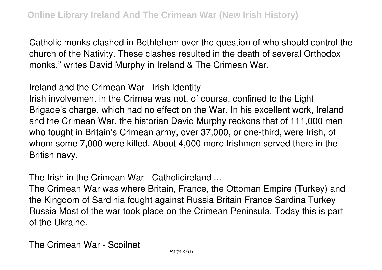Catholic monks clashed in Bethlehem over the question of who should control the church of the Nativity. These clashes resulted in the death of several Orthodox monks," writes David Murphy in Ireland & The Crimean War.

#### Ireland and the Crimean War - Irish Identity

Irish involvement in the Crimea was not, of course, confined to the Light Brigade's charge, which had no effect on the War. In his excellent work, Ireland and the Crimean War, the historian David Murphy reckons that of 111,000 men who fought in Britain's Crimean army, over 37,000, or one-third, were Irish, of whom some 7,000 were killed. About 4,000 more Irishmen served there in the British navy.

#### The Irish in the Crimean War - Catholicireland ...

The Crimean War was where Britain, France, the Ottoman Empire (Turkey) and the Kingdom of Sardinia fought against Russia Britain France Sardina Turkey Russia Most of the war took place on the Crimean Peninsula. Today this is part of the Ukraine.

The Crimean War - Scoilnet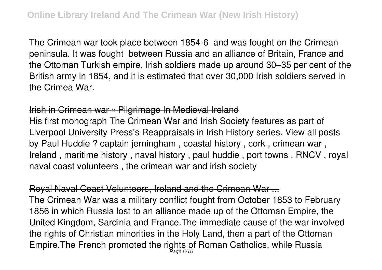The Crimean war took place between 1854-6 and was fought on the Crimean peninsula. It was fought between Russia and an alliance of Britain, France and the Ottoman Turkish empire. Irish soldiers made up around 30–35 per cent of the British army in 1854, and it is estimated that over 30,000 Irish soldiers served in the Crimea War.

## Irish in Crimean war « Pilgrimage In Medieval Ireland

His first monograph The Crimean War and Irish Society features as part of Liverpool University Press's Reappraisals in Irish History series. View all posts by Paul Huddie ? captain jerningham , coastal history , cork , crimean war , Ireland , maritime history , naval history , paul huddie , port towns , RNCV , royal naval coast volunteers , the crimean war and irish society

Royal Naval Coast Volunteers, Ireland and the Crimean War ... The Crimean War was a military conflict fought from October 1853 to February 1856 in which Russia lost to an alliance made up of the Ottoman Empire, the United Kingdom, Sardinia and France.The immediate cause of the war involved the rights of Christian minorities in the Holy Land, then a part of the Ottoman Empire. The French promoted the rights of Roman Catholics, while Russia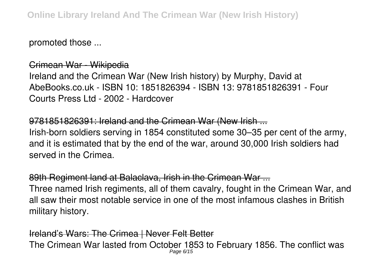promoted those ...

Crimean War - Wikipedia Ireland and the Crimean War (New Irish history) by Murphy, David at AbeBooks.co.uk - ISBN 10: 1851826394 - ISBN 13: 9781851826391 - Four Courts Press Ltd - 2002 - Hardcover

9781851826391: Ireland and the Crimean War (New Irish ... Irish-born soldiers serving in 1854 constituted some 30–35 per cent of the army, and it is estimated that by the end of the war, around 30,000 Irish soldiers had served in the Crimea.

89th Regiment land at Balaclava, Irish in the Crimean War ... Three named Irish regiments, all of them cavalry, fought in the Crimean War, and all saw their most notable service in one of the most infamous clashes in British military history.

Ireland's Wars: The Crimea | Never Felt Better The Crimean War lasted from October 1853 to February 1856. The conflict was Page 6/15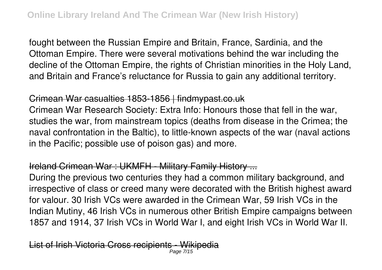fought between the Russian Empire and Britain, France, Sardinia, and the Ottoman Empire. There were several motivations behind the war including the decline of the Ottoman Empire, the rights of Christian minorities in the Holy Land, and Britain and France's reluctance for Russia to gain any additional territory.

#### Crimean War casualties 1853-1856 | findmypast.co.uk

Crimean War Research Society: Extra Info: Honours those that fell in the war, studies the war, from mainstream topics (deaths from disease in the Crimea; the naval confrontation in the Baltic), to little-known aspects of the war (naval actions in the Pacific; possible use of poison gas) and more.

## Ireland Crimean War : UKMFH - Military Family History ...

During the previous two centuries they had a common military background, and irrespective of class or creed many were decorated with the British highest award for valour. 30 Irish VCs were awarded in the Crimean War, 59 Irish VCs in the Indian Mutiny, 46 Irish VCs in numerous other British Empire campaigns between 1857 and 1914, 37 Irish VCs in World War I, and eight Irish VCs in World War II.

List of Irish Victoria Cross recipients - W Page 7/15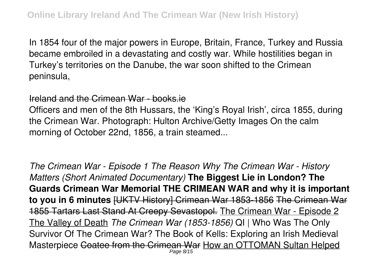In 1854 four of the major powers in Europe, Britain, France, Turkey and Russia became embroiled in a devastating and costly war. While hostilities began in Turkey's territories on the Danube, the war soon shifted to the Crimean peninsula,

Ireland and the Crimean War - books.ie

Officers and men of the 8th Hussars, the 'King's Royal Irish', circa 1855, during the Crimean War. Photograph: Hulton Archive/Getty Images On the calm morning of October 22nd, 1856, a train steamed...

*The Crimean War - Episode 1 The Reason Why The Crimean War - History Matters (Short Animated Documentary)* **The Biggest Lie in London? The Guards Crimean War Memorial THE CRIMEAN WAR and why it is important to you in 6 minutes** [UKTV History] Crimean War 1853-1856 The Crimean War 1855 Tartars Last Stand At Creepy Sevastopol. The Crimean War - Episode 2 The Valley of Death *The Crimean War (1853-1856)* QI | Who Was The Only Survivor Of The Crimean War? The Book of Kells: Exploring an Irish Medieval Masterpiece Coatee from the Crimean War How an OTTOMAN Sultan Helped Page 8/15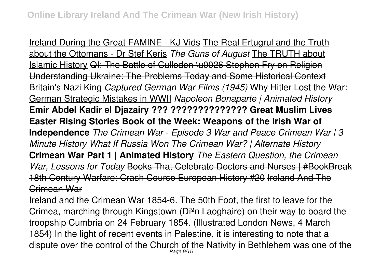Ireland During the Great FAMINE - KJ Vids The Real Ertugrul and the Truth about the Ottomans - Dr Stef Keris *The Guns of August* The TRUTH about Islamic History QI: The Battle of Culloden \u0026 Stephen Fry on Religion Understanding Ukraine: The Problems Today and Some Historical Context Britain's Nazi King *Captured German War Films (1945)* Why Hitler Lost the War: German Strategic Mistakes in WWII *Napoleon Bonaparte | Animated History* **Emir Abdel Kadir el Djazairy ??? ?????????????? Great Muslim Lives Easter Rising Stories Book of the Week: Weapons of the Irish War of Independence** *The Crimean War - Episode 3 War and Peace Crimean War | 3 Minute History What If Russia Won The Crimean War? | Alternate History* **Crimean War Part 1 | Animated History** *The Eastern Question, the Crimean War, Lessons for Today* Books That Celebrate Doctors and Nurses | #BookBreak 18th Century Warfare: Crash Course European History #20 Ireland And The Crimean War

Ireland and the Crimean War 1854-6. The 50th Foot, the first to leave for the Crimea, marching through Kingstown (Díºn Laoghaire) on their way to board the troopship Cumbria on 24 February 1854. (Illustrated London News, 4 March 1854) In the light of recent events in Palestine, it is interesting to note that a dispute over the control of the Church of the Nativity in Bethlehem was one of the Page 9/15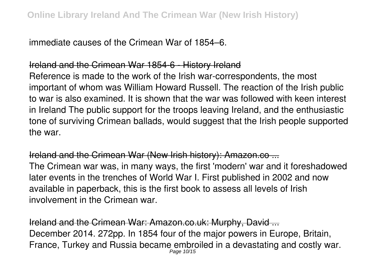immediate causes of the Crimean War of 1854–6.

## Ireland and the Crimean War 1854-6 - History Ireland

Reference is made to the work of the Irish war-correspondents, the most important of whom was William Howard Russell. The reaction of the Irish public to war is also examined. It is shown that the war was followed with keen interest in Ireland The public support for the troops leaving Ireland, and the enthusiastic tone of surviving Crimean ballads, would suggest that the Irish people supported the war.

## Ireland and the Crimean War (New Irish history): Amazon.co ...

The Crimean war was, in many ways, the first 'modern' war and it foreshadowed later events in the trenches of World War I. First published in 2002 and now available in paperback, this is the first book to assess all levels of Irish involvement in the Crimean war.

Ireland and the Crimean War: Amazon.co.uk: Murphy, David ... December 2014. 272pp. In 1854 four of the major powers in Europe, Britain, France, Turkey and Russia became embroiled in a devastating and costly war. Page 10/15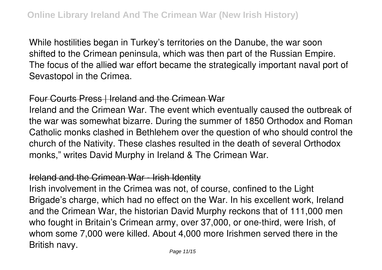While hostilities began in Turkey's territories on the Danube, the war soon shifted to the Crimean peninsula, which was then part of the Russian Empire. The focus of the allied war effort became the strategically important naval port of Sevastopol in the Crimea.

#### Four Courts Press | Ireland and the Crimean War

Ireland and the Crimean War. The event which eventually caused the outbreak of the war was somewhat bizarre. During the summer of 1850 Orthodox and Roman Catholic monks clashed in Bethlehem over the question of who should control the church of the Nativity. These clashes resulted in the death of several Orthodox monks," writes David Murphy in Ireland & The Crimean War.

#### Ireland and the Crimean War - Irish Identity

Irish involvement in the Crimea was not, of course, confined to the Light Brigade's charge, which had no effect on the War. In his excellent work, Ireland and the Crimean War, the historian David Murphy reckons that of 111,000 men who fought in Britain's Crimean army, over 37,000, or one-third, were Irish, of whom some 7,000 were killed. About 4,000 more Irishmen served there in the British navy.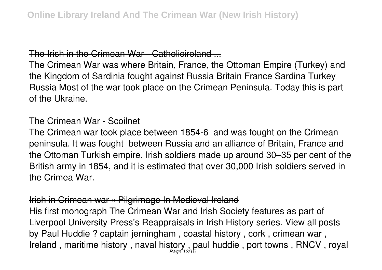#### The Irish in the Crimean War - Catholicireland ...

The Crimean War was where Britain, France, the Ottoman Empire (Turkey) and the Kingdom of Sardinia fought against Russia Britain France Sardina Turkey Russia Most of the war took place on the Crimean Peninsula. Today this is part of the Ukraine.

#### The Crimean War - Scoilnet

The Crimean war took place between 1854-6 and was fought on the Crimean peninsula. It was fought between Russia and an alliance of Britain, France and the Ottoman Turkish empire. Irish soldiers made up around 30–35 per cent of the British army in 1854, and it is estimated that over 30,000 Irish soldiers served in the Crimea War.

#### Irish in Crimean war « Pilgrimage In Medieval Ireland

His first monograph The Crimean War and Irish Society features as part of Liverpool University Press's Reappraisals in Irish History series. View all posts by Paul Huddie ? captain jerningham , coastal history , cork , crimean war , Ireland, maritime history, naval history, paul huddie, port towns, RNCV, royal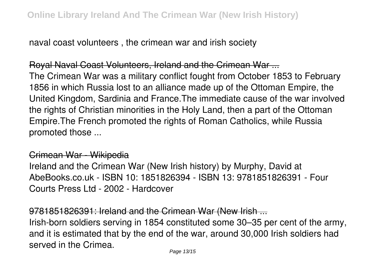naval coast volunteers , the crimean war and irish society

Royal Naval Coast Volunteers, Ireland and the Crimean War ... The Crimean War was a military conflict fought from October 1853 to February 1856 in which Russia lost to an alliance made up of the Ottoman Empire, the United Kingdom, Sardinia and France.The immediate cause of the war involved the rights of Christian minorities in the Holy Land, then a part of the Ottoman Empire.The French promoted the rights of Roman Catholics, while Russia promoted those ...

#### Crimean War - Wikipedia

Ireland and the Crimean War (New Irish history) by Murphy, David at AbeBooks.co.uk - ISBN 10: 1851826394 - ISBN 13: 9781851826391 - Four Courts Press Ltd - 2002 - Hardcover

9781851826391: Ireland and the Crimean War (New Irish ...

Irish-born soldiers serving in 1854 constituted some 30–35 per cent of the army, and it is estimated that by the end of the war, around 30,000 Irish soldiers had served in the Crimea.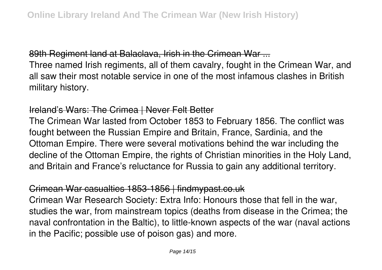89th Regiment land at Balaclava, Irish in the Crimean War ...

Three named Irish regiments, all of them cavalry, fought in the Crimean War, and all saw their most notable service in one of the most infamous clashes in British military history.

#### Ireland's Wars: The Crimea | Never Felt Better

The Crimean War lasted from October 1853 to February 1856. The conflict was fought between the Russian Empire and Britain, France, Sardinia, and the Ottoman Empire. There were several motivations behind the war including the decline of the Ottoman Empire, the rights of Christian minorities in the Holy Land, and Britain and France's reluctance for Russia to gain any additional territory.

## Crimean War casualties 1853-1856 | findmypast.co.uk

Crimean War Research Society: Extra Info: Honours those that fell in the war, studies the war, from mainstream topics (deaths from disease in the Crimea; the naval confrontation in the Baltic), to little-known aspects of the war (naval actions in the Pacific; possible use of poison gas) and more.